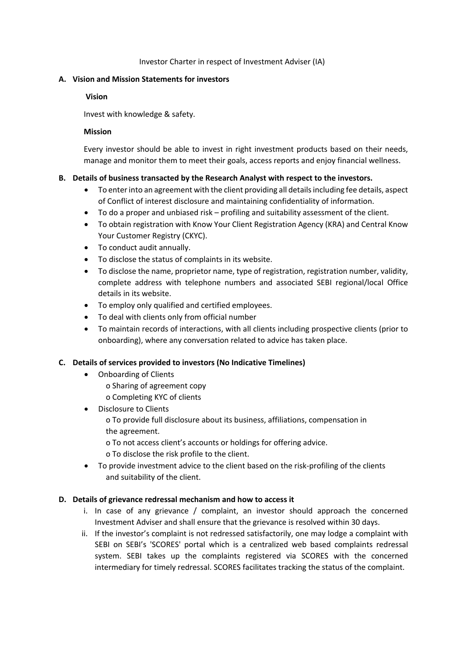#### Investor Charter in respect of Investment Adviser (IA)

#### **A. Vision and Mission Statements for investors**

### **Vision**

Invest with knowledge & safety.

### **Mission**

Every investor should be able to invest in right investment products based on their needs, manage and monitor them to meet their goals, access reports and enjoy financial wellness.

## **B. Details of business transacted by the Research Analyst with respect to the investors.**

- To enter into an agreement with the client providing all details including fee details, aspect of Conflict of interest disclosure and maintaining confidentiality of information.
- To do a proper and unbiased risk profiling and suitability assessment of the client.
- To obtain registration with Know Your Client Registration Agency (KRA) and Central Know Your Customer Registry (CKYC).
- To conduct audit annually.
- To disclose the status of complaints in its website.
- To disclose the name, proprietor name, type of registration, registration number, validity, complete address with telephone numbers and associated SEBI regional/local Office details in its website.
- To employ only qualified and certified employees.
- To deal with clients only from official number
- To maintain records of interactions, with all clients including prospective clients (prior to onboarding), where any conversation related to advice has taken place.

## **C. Details of services provided to investors (No Indicative Timelines)**

- Onboarding of Clients
	- o Sharing of agreement copy
	- o Completing KYC of clients
- Disclosure to Clients
	- o To provide full disclosure about its business, affiliations, compensation in the agreement.
	- o To not access client's accounts or holdings for offering advice.
	- o To disclose the risk profile to the client.
- To provide investment advice to the client based on the risk-profiling of the clients and suitability of the client.

## **D. Details of grievance redressal mechanism and how to access it**

- i. In case of any grievance / complaint, an investor should approach the concerned Investment Adviser and shall ensure that the grievance is resolved within 30 days.
- ii. If the investor's complaint is not redressed satisfactorily, one may lodge a complaint with SEBI on SEBI's 'SCORES' portal which is a centralized web based complaints redressal system. SEBI takes up the complaints registered via SCORES with the concerned intermediary for timely redressal. SCORES facilitates tracking the status of the complaint.